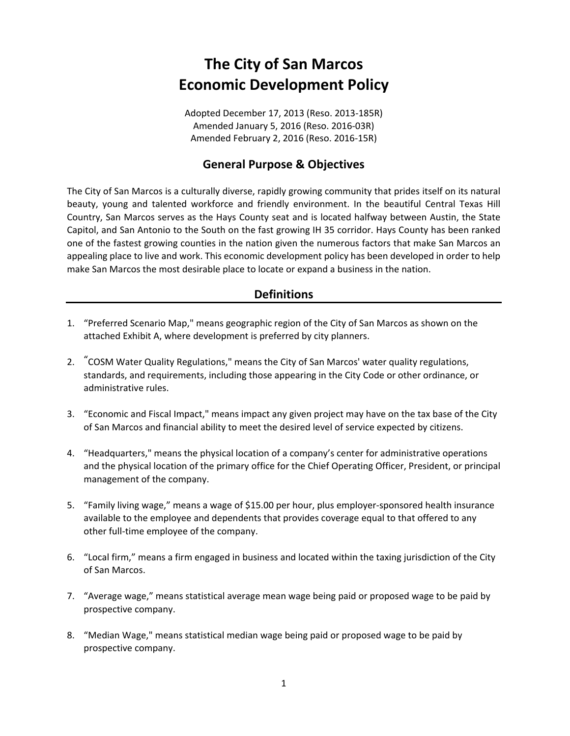# **The City of San Marcos Economic Development Policy**

Adopted December 17, 2013 (Reso. 2013‐185R) Amended January 5, 2016 (Reso. 2016‐03R) Amended February 2, 2016 (Reso. 2016‐15R)

## **General Purpose & Objectives**

The City of San Marcos is a culturally diverse, rapidly growing community that prides itself on its natural beauty, young and talented workforce and friendly environment. In the beautiful Central Texas Hill Country, San Marcos serves as the Hays County seat and is located halfway between Austin, the State Capitol, and San Antonio to the South on the fast growing IH 35 corridor. Hays County has been ranked one of the fastest growing counties in the nation given the numerous factors that make San Marcos an appealing place to live and work. This economic development policy has been developed in order to help make San Marcos the most desirable place to locate or expand a business in the nation.

## **Definitions**

- 1. "Preferred Scenario Map," means geographic region of the City of San Marcos as shown on the attached Exhibit A, where development is preferred by city planners.
- 2. "COSM Water Quality Regulations," means the City of San Marcos' water quality regulations, standards, and requirements, including those appearing in the City Code or other ordinance, or administrative rules.
- 3. "Economic and Fiscal Impact," means impact any given project may have on the tax base of the City of San Marcos and financial ability to meet the desired level of service expected by citizens.
- 4. "Headquarters," means the physical location of a company's center for administrative operations and the physical location of the primary office for the Chief Operating Officer, President, or principal management of the company.
- 5. "Family living wage," means a wage of \$15.00 per hour, plus employer-sponsored health insurance available to the employee and dependents that provides coverage equal to that offered to any other full‐time employee of the company.
- 6. "Local firm," means a firm engaged in business and located within the taxing jurisdiction of the City of San Marcos.
- 7. "Average wage," means statistical average mean wage being paid or proposed wage to be paid by prospective company.
- 8. "Median Wage," means statistical median wage being paid or proposed wage to be paid by prospective company.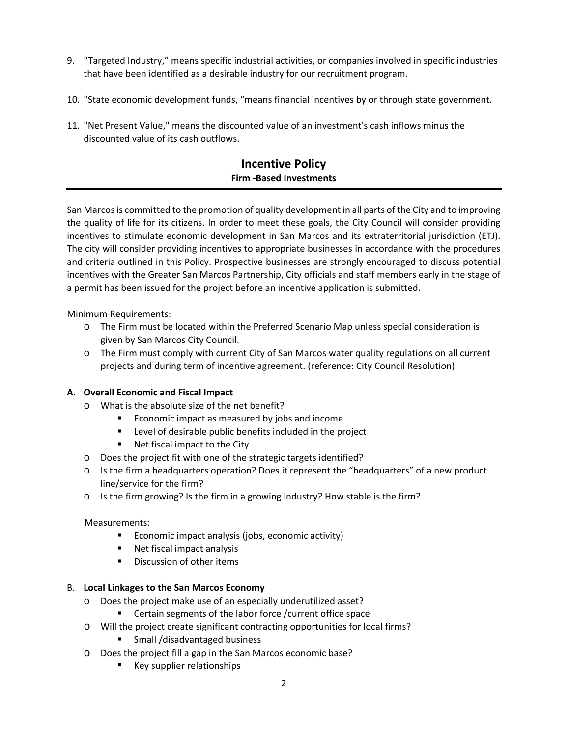- 9. "Targeted Industry," means specific industrial activities, or companies involved in specific industries that have been identified as a desirable industry for our recruitment program.
- 10. "State economic development funds, "means financial incentives by or through state government.
- 11. "Net Present Value," means the discounted value of an investment's cash inflows minus the discounted value of its cash outflows.

## **Incentive Policy Firm ‐Based Investments**

San Marcosis committed to the promotion of quality development in all parts of the City and to improving the quality of life for its citizens. In order to meet these goals, the City Council will consider providing incentives to stimulate economic development in San Marcos and its extraterritorial jurisdiction (ETJ). The city will consider providing incentives to appropriate businesses in accordance with the procedures and criteria outlined in this Policy. Prospective businesses are strongly encouraged to discuss potential incentives with the Greater San Marcos Partnership, City officials and staff members early in the stage of a permit has been issued for the project before an incentive application is submitted.

Minimum Requirements:

- o The Firm must be located within the Preferred Scenario Map unless special consideration is given by San Marcos City Council.
- o The Firm must comply with current City of San Marcos water quality regulations on all current projects and during term of incentive agreement. (reference: City Council Resolution)

#### **A. Overall Economic and Fiscal Impact**

- o What is the absolute size of the net benefit?
	- **Example 1** Economic impact as measured by jobs and income
	- **EXECT** Level of desirable public benefits included in the project
	- **Net fiscal impact to the City**
- o Does the project fit with one of the strategic targets identified?
- o Is the firm a headquarters operation? Does it represent the "headquarters" of a new product line/service for the firm?
- $\circ$  Is the firm growing? Is the firm in a growing industry? How stable is the firm?

#### Measurements:

- **Example 1** Economic impact analysis (jobs, economic activity)
- Net fiscal impact analysis
- **•** Discussion of other items

#### B. **Local Linkages to the San Marcos Economy**

- o Does the project make use of an especially underutilized asset?
	- **EXEC** Certain segments of the labor force / current office space
- o Will the project create significant contracting opportunities for local firms?
	- **Small /disadvantaged business**
- o Does the project fill a gap in the San Marcos economic base?
	- Key supplier relationships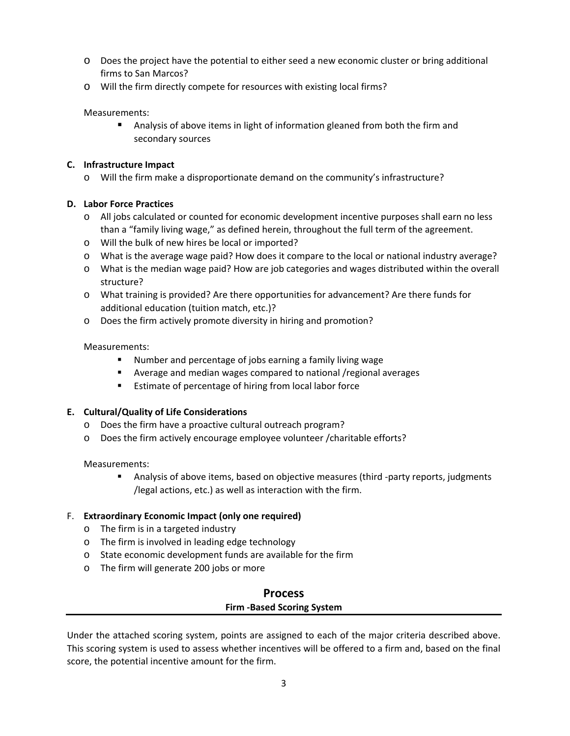- o Does the project have the potential to either seed a new economic cluster or bring additional firms to San Marcos?
- o Will the firm directly compete for resources with existing local firms?

Measurements:

**Analysis of above items in light of information gleaned from both the firm and** secondary sources

#### **C. Infrastructure Impact**

o Will the firm make a disproportionate demand on the community's infrastructure?

#### **D. Labor Force Practices**

- o All jobs calculated or counted for economic development incentive purposes shall earn no less than a "family living wage," as defined herein, throughout the full term of the agreement.
- o Will the bulk of new hires be local or imported?
- o What is the average wage paid? How does it compare to the local or national industry average?
- o What is the median wage paid? How are job categories and wages distributed within the overall structure?
- o What training is provided? Are there opportunities for advancement? Are there funds for additional education (tuition match, etc.)?
- o Does the firm actively promote diversity in hiring and promotion?

#### Measurements:

- Number and percentage of jobs earning a family living wage
- Average and median wages compared to national /regional averages
- **Estimate of percentage of hiring from local labor force**

#### **E. Cultural/Quality of Life Considerations**

- o Does the firm have a proactive cultural outreach program?
- o Does the firm actively encourage employee volunteer /charitable efforts?

Measurements:

■ Analysis of above items, based on objective measures (third -party reports, judgments /legal actions, etc.) as well as interaction with the firm.

#### F. **Extraordinary Economic Impact (only one required)**

- o The firm is in a targeted industry
- o The firm is involved in leading edge technology
- o State economic development funds are available for the firm
- o The firm will generate 200 jobs or more

## **Process Firm ‐Based Scoring System**

Under the attached scoring system, points are assigned to each of the major criteria described above. This scoring system is used to assess whether incentives will be offered to a firm and, based on the final score, the potential incentive amount for the firm.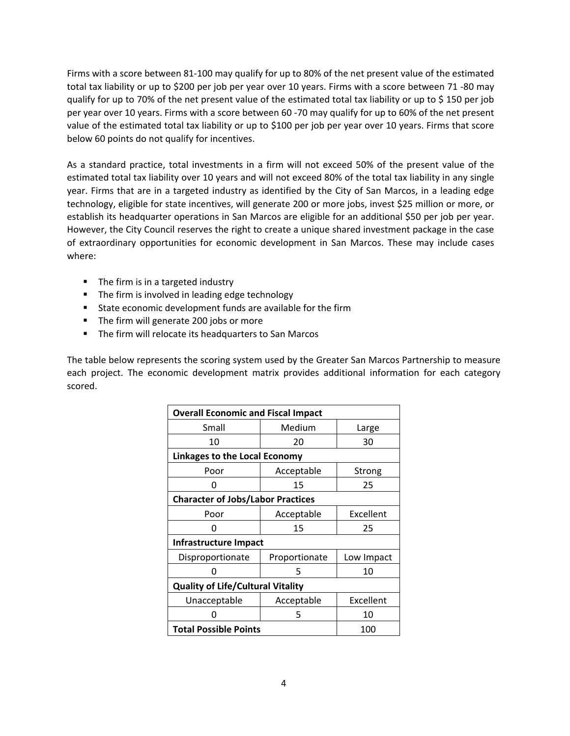Firms with a score between 81‐100 may qualify for up to 80% of the net present value of the estimated total tax liability or up to \$200 per job per year over 10 years. Firms with a score between 71 ‐80 may qualify for up to 70% of the net present value of the estimated total tax liability or up to \$ 150 per job per year over 10 years. Firms with a score between 60 ‐70 may qualify for up to 60% of the net present value of the estimated total tax liability or up to \$100 per job per year over 10 years. Firms that score below 60 points do not qualify for incentives.

As a standard practice, total investments in a firm will not exceed 50% of the present value of the estimated total tax liability over 10 years and will not exceed 80% of the total tax liability in any single year. Firms that are in a targeted industry as identified by the City of San Marcos, in a leading edge technology, eligible for state incentives, will generate 200 or more jobs, invest \$25 million or more, or establish its headquarter operations in San Marcos are eligible for an additional \$50 per job per year. However, the City Council reserves the right to create a unique shared investment package in the case of extraordinary opportunities for economic development in San Marcos. These may include cases where:

- The firm is in a targeted industry
- The firm is involved in leading edge technology
- State economic development funds are available for the firm
- The firm will generate 200 jobs or more
- **The firm will relocate its headquarters to San Marcos**

The table below represents the scoring system used by the Greater San Marcos Partnership to measure each project. The economic development matrix provides additional information for each category scored.

| <b>Overall Economic and Fiscal Impact</b> |               |            |
|-------------------------------------------|---------------|------------|
| Small                                     | Medium        | Large      |
| 10                                        | 20            | 30         |
| <b>Linkages to the Local Economy</b>      |               |            |
| Poor                                      | Acceptable    | Strong     |
| O                                         | 15            | 25         |
| <b>Character of Jobs/Labor Practices</b>  |               |            |
| Poor                                      | Acceptable    | Excellent  |
| n                                         | 15            | 25         |
| Infrastructure Impact                     |               |            |
| Disproportionate                          | Proportionate | Low Impact |
|                                           | 5             | 10         |
| <b>Quality of Life/Cultural Vitality</b>  |               |            |
| Unacceptable                              | Acceptable    | Excellent  |
|                                           | 5             | 10         |
| <b>Total Possible Points</b>              |               | 100        |